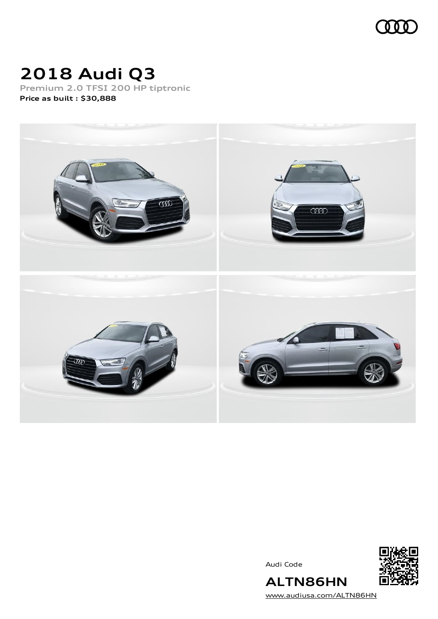

# **2018 Audi Q3**

**Premium 2.0 TFSI 200 HP tiptronic Price as built [:](#page-8-0) \$30,888**



Audi Code



[www.audiusa.com/ALTN86HN](https://www.audiusa.com/ALTN86HN)

**ALTN86HN**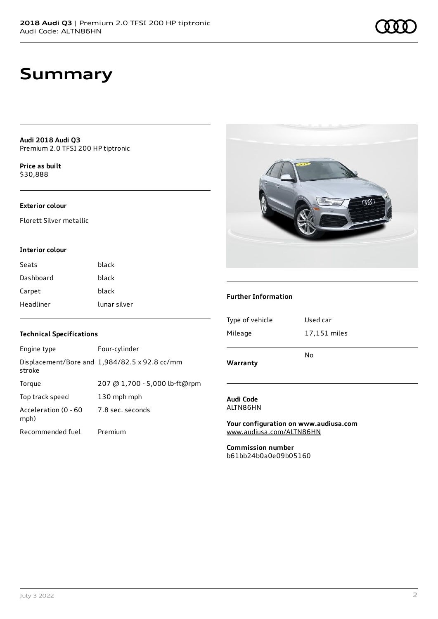# **Summary**

**Audi 2018 Audi Q3** Premium 2.0 TFSI 200 HP tiptronic

**Price as buil[t](#page-8-0)** \$30,888

#### **Exterior colour**

Florett Silver metallic

#### **Interior colour**

| Seats     | black        |
|-----------|--------------|
| Dashboard | black        |
| Carpet    | black        |
| Headliner | lunar silver |

### **Technical Specifications**

| Engine type                  | Four-cylinder                                 |
|------------------------------|-----------------------------------------------|
| stroke                       | Displacement/Bore and 1,984/82.5 x 92.8 cc/mm |
| Torque                       | 207 @ 1,700 - 5,000 lb-ft@rpm                 |
| Top track speed              | 130 mph mph                                   |
| Acceleration (0 - 60<br>mph) | 7.8 sec. seconds                              |
| Recommended fuel             | Premium                                       |



#### **Further Information**

| Warranty        |              |  |
|-----------------|--------------|--|
|                 | No           |  |
| Mileage         | 17,151 miles |  |
| Type of vehicle | Used car     |  |
|                 |              |  |

#### **Audi Code** ALTN86HN

**Your configuration on www.audiusa.com** [www.audiusa.com/ALTN86HN](https://www.audiusa.com/ALTN86HN)

**Commission number** b61bb24b0a0e09b05160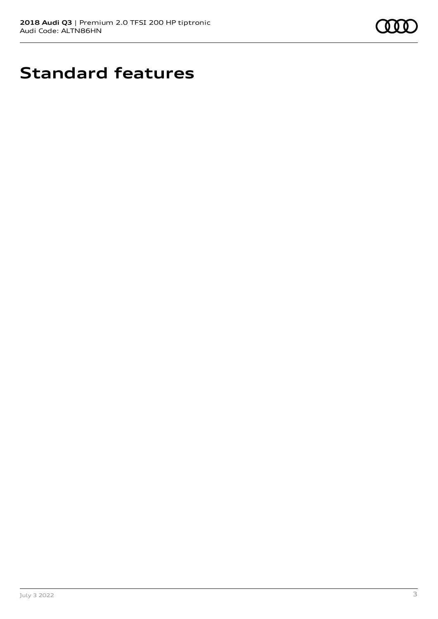

# **Standard features**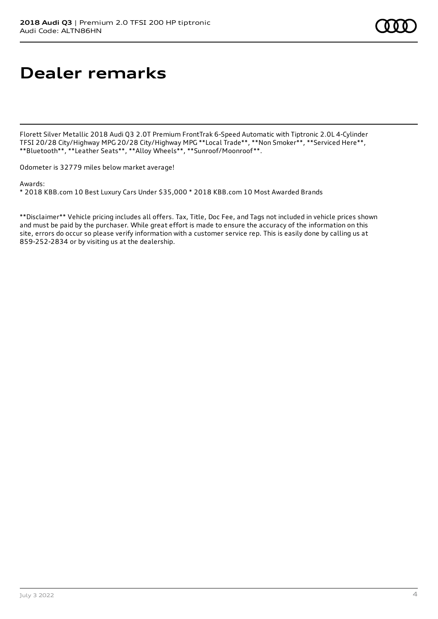# **Dealer remarks**

Florett Silver Metallic 2018 Audi Q3 2.0T Premium FrontTrak 6-Speed Automatic with Tiptronic 2.0L 4-Cylinder TFSI 20/28 City/Highway MPG 20/28 City/Highway MPG \*\*Local Trade\*\*, \*\*Non Smoker\*\*, \*\*Serviced Here\*\*, \*\*Bluetooth\*\*, \*\*Leather Seats\*\*, \*\*Alloy Wheels\*\*, \*\*Sunroof/Moonroof\*\*.

Odometer is 32779 miles below market average!

Awards:

\* 2018 KBB.com 10 Best Luxury Cars Under \$35,000 \* 2018 KBB.com 10 Most Awarded Brands

\*\*Disclaimer\*\* Vehicle pricing includes all offers. Tax, Title, Doc Fee, and Tags not included in vehicle prices shown and must be paid by the purchaser. While great effort is made to ensure the accuracy of the information on this site, errors do occur so please verify information with a customer service rep. This is easily done by calling us at 859-252-2834 or by visiting us at the dealership.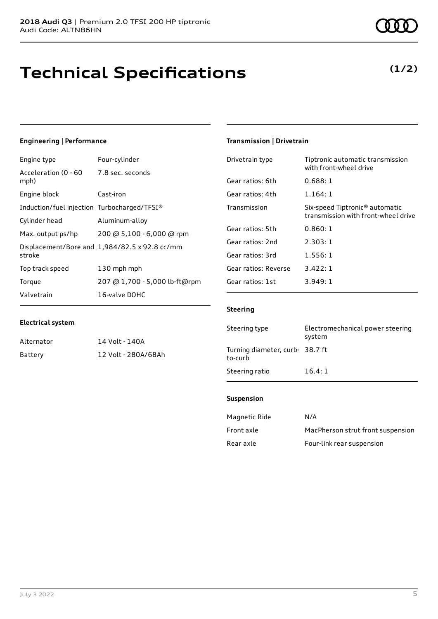# **Technical Specifications**

### **Engineering | Performance**

| Engine type                                     | Four-cylinder                                 |
|-------------------------------------------------|-----------------------------------------------|
| Acceleration (0 - 60 - 7.8 sec. seconds<br>mph) |                                               |
| Engine block                                    | Cast-iron                                     |
| Induction/fuel injection Turbocharged/TFSI®     |                                               |
| Cylinder head                                   | Aluminum-alloy                                |
| Max. output ps/hp                               | 200 @ 5,100 - 6,000 @ rpm                     |
| stroke                                          | Displacement/Bore and 1,984/82.5 x 92.8 cc/mm |
| Top track speed                                 | 130 mph mph                                   |
| Torque                                          | 207 @ 1,700 - 5,000 lb-ft@rpm                 |
| Valvetrain                                      | 16-valve DOHC                                 |

#### **Electrical system**

| Alternator | 14 Volt - 140A      |
|------------|---------------------|
| Battery    | 12 Volt - 280A/68Ah |

#### July 3 2022 5

### **Transmission | Drivetrain**

| Drivetrain type      | Tiptronic automatic transmission<br>with front-wheel drive                        |
|----------------------|-----------------------------------------------------------------------------------|
| Gear ratios: 6th     | 0.688:1                                                                           |
| Gear ratios: 4th     | 1.164:1                                                                           |
| Transmission         | Six-speed Tiptronic <sup>®</sup> automatic<br>transmission with front-wheel drive |
| Gear ratios: 5th     | 0.860:1                                                                           |
| Gear ratios: 2nd     | 2.303:1                                                                           |
| Gear ratios: 3rd     | 1.556:1                                                                           |
| Gear ratios: Reverse | 3.422:1                                                                           |
| Gear ratios: 1st     | 3.949:1                                                                           |

#### **Steering**

| Steering type                              | Electromechanical power steering<br>system |
|--------------------------------------------|--------------------------------------------|
| Turning diameter, curb- 38.7 ft<br>to-curb |                                            |
| Steering ratio                             | 16.4:1                                     |

#### **Suspension**

| Magnetic Ride | N/A                               |
|---------------|-----------------------------------|
| Front axle    | MacPherson strut front suspension |
| Rear axle     | Four-link rear suspension         |

### **(1/2)**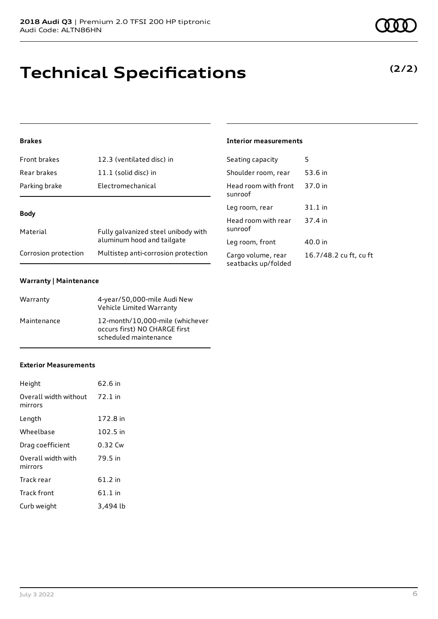# **Technical Specifications**

### **Brakes**

| Front brakes         | 12.3 (ventilated disc) in                                         |  |
|----------------------|-------------------------------------------------------------------|--|
| Rear brakes          | 11.1 (solid disc) in                                              |  |
| Parking brake        | Electromechanical                                                 |  |
| <b>Body</b>          |                                                                   |  |
| Material             | Fully galvanized steel unibody with<br>aluminum hood and tailgate |  |
| Corrosion protection | Multistep anti-corrosion protection                               |  |

#### **Warranty | Maintenance**

| Warranty    | 4-year/50,000-mile Audi New<br>Vehicle Limited Warranty                                   |
|-------------|-------------------------------------------------------------------------------------------|
| Maintenance | 12-month/10,000-mile (whichever<br>occurs first) NO CHARGE first<br>scheduled maintenance |

#### **Exterior Measurements**

| Height                           | 62.6 in   |
|----------------------------------|-----------|
| Overall width without<br>mirrors | $72.1$ in |
| Length                           | 172.8 in  |
| Wheelbase                        | 102.5 in  |
| Drag coefficient                 | 0.32 Cw   |
| Overall width with<br>mirrors    | 79.5 in   |
| Track rear                       | 61.2 in   |
| <b>Track front</b>               | $61.1$ in |
| Curb weight                      | 3.494 lb  |

### **Interior measurements**

| Seating capacity                          | 5                      |
|-------------------------------------------|------------------------|
| Shoulder room, rear                       | 53.6 in                |
| Head room with front<br>sunroof           | 37.0 in                |
| Leg room, rear                            | 31.1 in                |
| Head room with rear<br>sunroof            | 37.4 in                |
| Leg room, front                           | 40.0 in                |
| Cargo volume, rear<br>seatbacks up/folded | 16.7/48.2 cu ft, cu ft |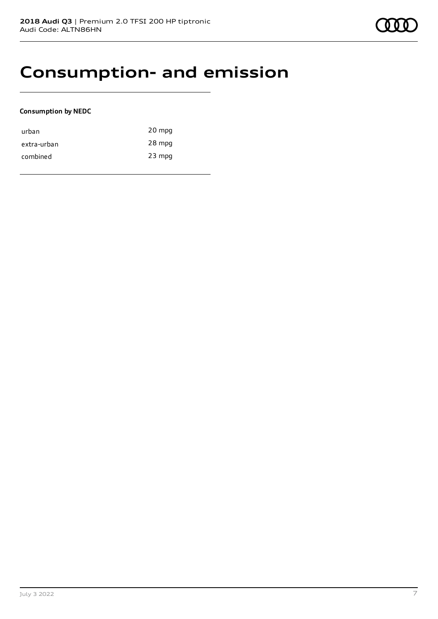### **Consumption- and emission**

#### **Consumption by NEDC**

| urban       | 20 mpg   |
|-------------|----------|
| extra-urban | 28 mpg   |
| combined    | $23$ mpg |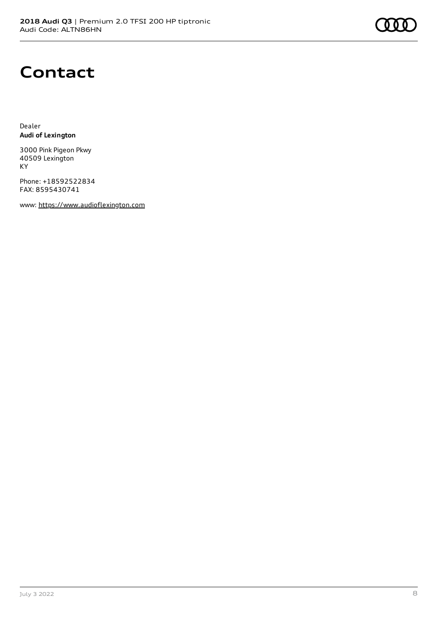# **Contact**

Dealer **Audi of Lexington**

3000 Pink Pigeon Pkwy 40509 Lexington KY

Phone: +18592522834 FAX: 8595430741

www: [https://www.audioflexington.com](https://www.audioflexington.com/)